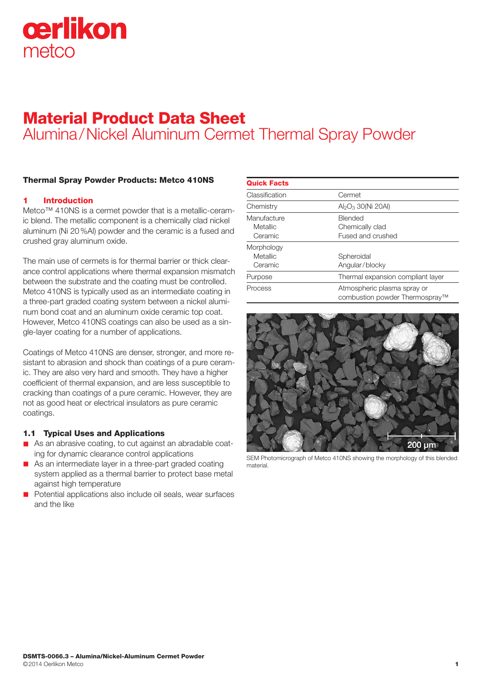# cerlikon metco

# Material Product Data Sheet Alumina/Nickel Aluminum Cermet Thermal Spray Powder

# Thermal Spray Powder Products: Metco 410NS

# **Introduction**

Metco™ 410NS is a cermet powder that is a metallic-ceramic blend. The metallic component is a chemically clad nickel aluminum (Ni 20%Al) powder and the ceramic is a fused and crushed gray aluminum oxide.

The main use of cermets is for thermal barrier or thick clearance control applications where thermal expansion mismatch between the substrate and the coating must be controlled. Metco 410NS is typically used as an intermediate coating in a three-part graded coating system between a nickel aluminum bond coat and an aluminum oxide ceramic top coat. However, Metco 410NS coatings can also be used as a single-layer coating for a number of applications.

Coatings of Metco 410NS are denser, stronger, and more resistant to abrasion and shock than coatings of a pure ceramic. They are also very hard and smooth. They have a higher coefficient of thermal expansion, and are less susceptible to cracking than coatings of a pure ceramic. However, they are not as good heat or electrical insulators as pure ceramic coatings.

# 1.1 Typical Uses and Applications

- **n** As an abrasive coating, to cut against an abradable coating for dynamic clearance control applications
- **n** As an intermediate layer in a three-part graded coating system applied as a thermal barrier to protect base metal against high temperature
- n Potential applications also include oil seals, wear surfaces and the like

| <b>Quick Facts</b> |                                                               |
|--------------------|---------------------------------------------------------------|
| Classification     | Cermet                                                        |
| Chemistry          | $Al_2O_3$ 30(Ni 20Al)                                         |
| Manufacture        | <b>Blended</b>                                                |
| Metallic           | Chemically clad                                               |
| Ceramic            | Fused and crushed                                             |
| Morphology         |                                                               |
| <b>Metallic</b>    | Spheroidal                                                    |
| Ceramic            | Angular/blocky                                                |
| Purpose            | Thermal expansion compliant layer                             |
| Process            | Atmospheric plasma spray or<br>combustion powder Thermospray™ |



SEM Photomicrograph of Metco 410NS showing the morphology of this blended material.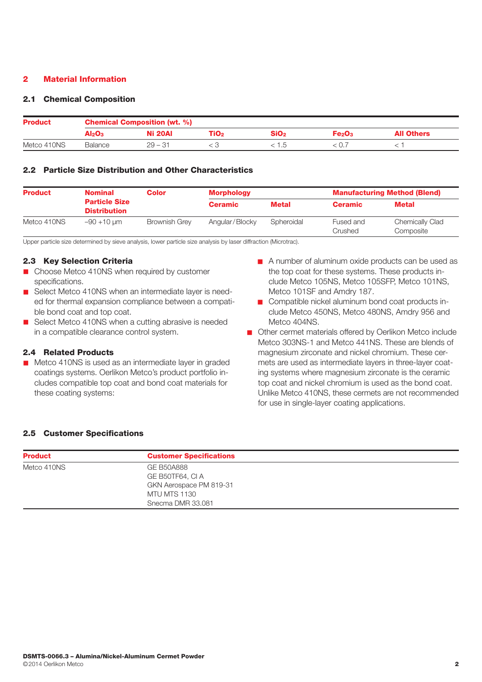## 2 Material Information

#### 2.1 Chemical Composition

| <b>Product</b> | <b>Chemical Composition (wt. %)</b> |                |                  |                  |                                |                   |
|----------------|-------------------------------------|----------------|------------------|------------------|--------------------------------|-------------------|
|                | $Al_2O_3$                           | <b>Ni 20AI</b> | ™iO <sub>2</sub> | SiO <sub>2</sub> | Fe <sub>2</sub> O <sub>3</sub> | <b>All Others</b> |
| Metco 410NS    | Balance                             | 29 – 31        |                  |                  |                                |                   |

# 2.2 Particle Size Distribution and Other Characteristics

| <b>Product</b> | <b>Nominal</b><br><b>Particle Size</b><br><b>Distribution</b> | <b>Color</b>         | <b>Morphology</b> |              | <b>Manufacturing Method (Blend)</b> |                                     |
|----------------|---------------------------------------------------------------|----------------------|-------------------|--------------|-------------------------------------|-------------------------------------|
|                |                                                               |                      | <b>Ceramic</b>    | <b>Metal</b> | <b>Ceramic</b>                      | <b>Metal</b>                        |
| Metco 410NS    | $-90 + 10$ um                                                 | <b>Brownish Grey</b> | Angular/Blocky    | Spheroidal   | Fused and<br>Crushed                | <b>Chemically Clad</b><br>Composite |

Upper particle size determined by sieve analysis, lower particle size analysis by laser diffraction (Microtrac).

#### 2.3 Key Selection Criteria

- Choose Metco 410NS when required by customer specifications.
- Select Metco 410NS when an intermediate layer is needed for thermal expansion compliance between a compatible bond coat and top coat.
- Select Metco 410NS when a cutting abrasive is needed in a compatible clearance control system.

#### 2.4 Related Products

- Metco 410NS is used as an intermediate layer in graded coatings systems. Oerlikon Metco's product portfolio includes compatible top coat and bond coat materials for these coating systems:
- $\blacksquare$  A number of aluminum oxide products can be used as the top coat for these systems. These products include Metco 105NS, Metco 105SFP, Metco 101NS, Metco 101SF and Amdry 187.
- Compatible nickel aluminum bond coat products include Metco 450NS, Metco 480NS, Amdry 956 and Metco 404NS.
- Other cermet materials offered by Oerlikon Metco include Metco 303NS-1 and Metco 441NS. These are blends of magnesium zirconate and nickel chromium. These cermets are used as intermediate layers in three-layer coating systems where magnesium zirconate is the ceramic top coat and nickel chromium is used as the bond coat. Unlike Metco 410NS, these cermets are not recommended for use in single-layer coating applications.

#### 2.5 Customer Specifications

| <b>Product</b> | <b>Customer Specifications</b> |  |
|----------------|--------------------------------|--|
| Metco 410NS    | GE B50A888                     |  |
|                | GE B50TF64, CI A               |  |
|                | GKN Aerospace PM 819-31        |  |
|                | MTU MTS 1130                   |  |
|                | Snecma DMR 33.081              |  |